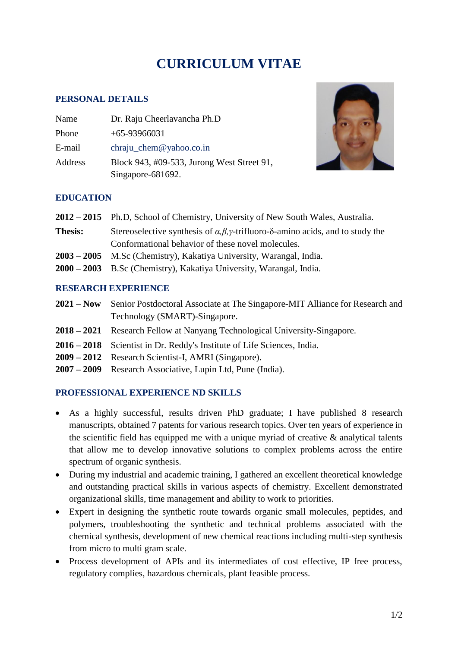# **CURRICULUM VITAE**

#### **PERSONAL DETAILS**

| Name    | Dr. Raju Cheerlavancha Ph.D                |
|---------|--------------------------------------------|
| Phone   | $+65-93966031$                             |
| E-mail  | chraju_chem@yahoo.co.in                    |
| Address | Block 943, #09-533, Jurong West Street 91, |
|         | Singapore-681692.                          |



#### **EDUCATION**

- **2012 – 2015** Ph.D, School of Chemistry, University of New South Wales, Australia.
- **Thesis:** Stereoselective synthesis of *α,β,γ*-trifluoro-δ-amino acids, and to study the Conformational behavior of these novel molecules.
- **2003 – 2005** M.Sc (Chemistry), Kakatiya University, Warangal, India.
- **2000 – 2003** B.Sc (Chemistry), Kakatiya University, Warangal, India.

#### **RESEARCH EXPERIENCE**

- **2021 – Now** Senior Postdoctoral Associate at The Singapore-MIT Alliance for Research and Technology (SMART)-Singapore.
- **2018 – 2021** Research Fellow at Nanyang Technological University-Singapore.
- **2016 – 2018** Scientist in Dr. Reddy's Institute of Life Sciences, India.
- **2009 – 2012** Research Scientist-I, AMRI (Singapore).
- **2007 – 2009** Research Associative, Lupin Ltd, Pune (India).

## **PROFESSIONAL EXPERIENCE ND SKILLS**

- As a highly successful, results driven PhD graduate; I have published 8 research manuscripts, obtained 7 patents for various research topics. Over ten years of experience in the scientific field has equipped me with a unique myriad of creative & analytical talents that allow me to develop innovative solutions to complex problems across the entire spectrum of organic synthesis.
- During my industrial and academic training, I gathered an excellent theoretical knowledge and outstanding practical skills in various aspects of chemistry. Excellent demonstrated organizational skills, time management and ability to work to priorities.
- Expert in designing the synthetic route towards organic small molecules, peptides, and polymers, troubleshooting the synthetic and technical problems associated with the chemical synthesis, development of new chemical reactions including multi-step synthesis from micro to multi gram scale.
- Process development of APIs and its intermediates of cost effective, IP free process, regulatory complies, hazardous chemicals, plant feasible process.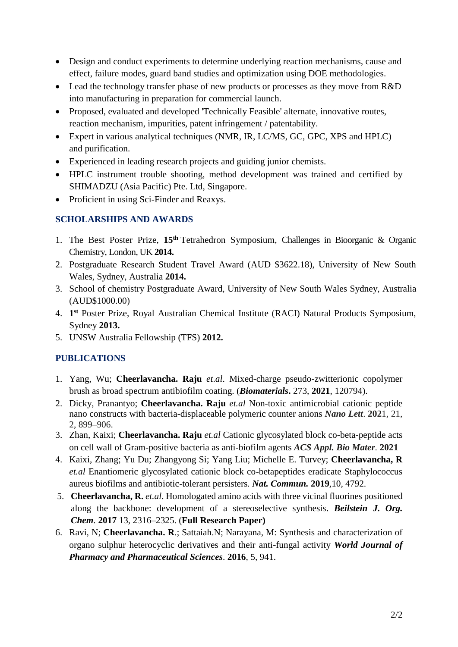- Design and conduct experiments to determine underlying reaction mechanisms, cause and effect, failure modes, guard band studies and optimization using DOE methodologies.
- Lead the technology transfer phase of new products or processes as they move from R&D into manufacturing in preparation for commercial launch.
- Proposed, evaluated and developed 'Technically Feasible' alternate, innovative routes, reaction mechanism, impurities, patent infringement / patentability.
- Expert in various analytical techniques (NMR, IR, LC/MS, GC, GPC, XPS and HPLC) and purification.
- Experienced in leading research projects and guiding junior chemists.
- HPLC instrument trouble shooting, method development was trained and certified by SHIMADZU [\(Asia Pacific\) Pte. Ltd,](https://www.google.com.au/url?sa=t&rct=j&q=&esrc=s&source=web&cd=1&cad=rja&uact=8&ved=0CB0QFjAAahUKEwjbs-2v-orIAhUEIqYKHV_xDfs&url=http%3A%2F%2Fwww.shimadzu.com.sg%2F&usg=AFQjCNHsOOOoE4YzfFYU6K2EfxrCauTlkA&bvm=bv.103073922,bs.1,d.dGY) Singapore.
- Proficient in using Sci-Finder and Reaxys.

## **SCHOLARSHIPS AND AWARDS**

- 1. The Best Poster Prize, **15th** Tetrahedron Symposium, Challenges in Bioorganic & Organic Chemistry, London, UK **2014.**
- 2. Postgraduate Research Student Travel Award (AUD \$3622.18), University of New South Wales, Sydney, Australia **2014.**
- 3. School of chemistry Postgraduate Award, University of New South Wales Sydney, Australia (AUD\$1000.00)
- 4. **1 st** Poster Prize, Royal Australian Chemical Institute (RACI) Natural Products Symposium, Sydney **2013.**
- 5. UNSW Australia Fellowship (TFS) **2012.**

## **PUBLICATIONS**

- 1. Yang, Wu; **Cheerlavancha. Raju** *et*.*al*. Mixed-charge pseudo-zwitterionic copolymer brush as broad spectrum antibiofilm coating. (*Biomaterials***.** [273,](https://www.sciencedirect.com/science/journal/01429612/273/supp/C) **2021**, 120794).
- 2. Dicky, Pranantyo; **Cheerlavancha. Raju** *et.al* Non-toxic antimicrobial cationic peptide nano constructs with bacteria-displaceable polymeric counter anions *Nano Lett*. **202**1, 21, 2, 899–906.
- 3. Zhan, Kaixi; **Cheerlavancha. Raju** *et.al* Cationic glycosylated block co-beta-peptide acts on cell wall of Gram-positive bacteria as anti-biofilm agents *ACS Appl. Bio Mater.* **2021**
- 4. Kaixi, Zhang; Yu Du; Zhangyong Si; Yang Liu; Michelle E. Turvey; **Cheerlavancha, R** *et.al* Enantiomeric glycosylated cationic block co-betapeptides eradicate Staphylococcus aureus biofilms and antibiotic-tolerant persisters*. Nat. Commun.* **2019***,*10*,* 4792.
- 5. **Cheerlavancha, R.** *et.al*. Homologated amino acids with three vicinal fluorines positioned along the backbone: development of a stereoselective synthesis. *Beilstein J. Org. Chem.* **2017** 13*,* 2316–2325. (**Full Research Paper)**
- 6. Ravi, N; **Cheerlavancha. R**.; Sattaiah.N; Narayana, M: Synthesis and characterization of organo sulphur heterocyclic derivatives and their anti-fungal activity *World Journal of Pharmacy and Pharmaceutical Sciences*. **2016**, 5, 941.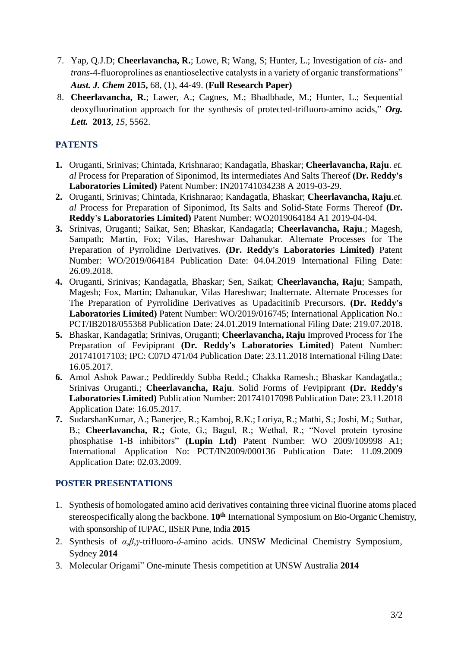- 7. Yap, Q.J.D; **Cheerlavancha, R.**; Lowe, R; Wang, S; Hunter, L.; Investigation of *cis* and *trans*-4-fluoroprolines as enantioselective catalysts in a variety of organic transformations" *Aust. J. Chem* **2015,** 68, (1), 44-49. (**Full Research Paper)**
- 8. **Cheerlavancha, R.**; Lawer, A.; Cagnes, M.; Bhadbhade, M.; Hunter, L.; Sequential deoxyfluorination approach for the synthesis of protected-trifluoro-amino acids," *Org. Lett.* **2013**, *15*, 5562.

# **PATENTS**

- **1.** Oruganti, Srinivas; Chintada, Krishnarao; Kandagatla, Bhaskar; **Cheerlavancha, Raju**. *et. al* Process for Preparation of Siponimod, Its intermediates And Salts Thereof **(Dr. Reddy's Laboratories Limited)** Patent Number: IN201741034238 A 2019-03-29.
- **2.** Oruganti, Srinivas; Chintada, Krishnarao; Kandagatla, Bhaskar; **Cheerlavancha, Raju**.*et. al* Process for Preparation of Siponimod, Its Salts and Solid-State Forms Thereof **(Dr. Reddy's Laboratories Limited)** Patent Number: WO2019064184 A1 2019-04-04.
- **3.** Srinivas, Oruganti; Saikat, Sen; Bhaskar, Kandagatla; **Cheerlavancha, Raju**.; Magesh, Sampath; Martin, Fox; Vilas, Hareshwar Dahanukar. Alternate Processes for The Preparation of Pyrrolidine Derivatives. **(Dr. Reddy's Laboratories Limited)** Patent Number: WO/2019/064184 Publication Date: 04.04.2019 International Filing Date: 26.09.2018.
- **4.** Oruganti, Srinivas; Kandagatla, Bhaskar; Sen, Saikat; **Cheerlavancha, Raju**; Sampath, Magesh; Fox, Martin; Dahanukar, Vilas Hareshwar; Inalternate. Alternate Processes for The Preparation of Pyrrolidine Derivatives as Upadacitinib Precursors. **(Dr. Reddy's Laboratories Limited)** Patent Number: WO/2019/016745; International Application No.: PCT/IB2018/055368 Publication Date: 24.01.2019 International Filing Date: 219.07.2018.
- **5.** Bhaskar, Kandagatla; Srinivas, Oruganti; **Cheerlavancha, Raju** Improved Process for The Preparation of Fevipiprant **(Dr. Reddy's Laboratories Limited**) Patent Number: 201741017103; IPC: C07D 471/04 Publication Date: 23.11.2018 International Filing Date: 16.05.2017.
- **6.** Amol Ashok Pawar.; Peddireddy Subba Redd.; Chakka Ramesh.; Bhaskar Kandagatla.; Srinivas Oruganti.; **Cheerlavancha, Raju**. Solid Forms of Fevipiprant **(Dr. Reddy's Laboratories Limited)** Publication Number: 201741017098 Publication Date: 23.11.2018 Application Date: 16.05.2017.
- **7.** SudarshanKumar, A.; Banerjee, R.; Kamboj, R.K.; Loriya, R.; Mathi, S.; Joshi, M.; Suthar, B.; **Cheerlavancha, R.;** Gote, G.; Bagul, R.; Wethal, R.; "Novel protein tyrosine phosphatise 1-B inhibitors" **(Lupin Ltd)** Patent Number: WO 2009/109998 A1; International Application No: PCT/IN2009/000136 Publication Date: 11.09.2009 Application Date: 02.03.2009.

## **POSTER PRESENTATIONS**

- 1. Synthesis of homologated amino acid derivatives containing three vicinal fluorine atoms placed stereospecifically along the backbone. **10th** International Symposium on Bio-Organic Chemistry, with sponsorship of IUPAC, IISER Pune, India **2015**
- 2. Synthesis of *α,β,γ-*trifluoro-*δ*-amino acids. UNSW Medicinal Chemistry Symposium, Sydney **2014**
- 3. Molecular Origami" One-minute Thesis competition at UNSW Australia **2014**